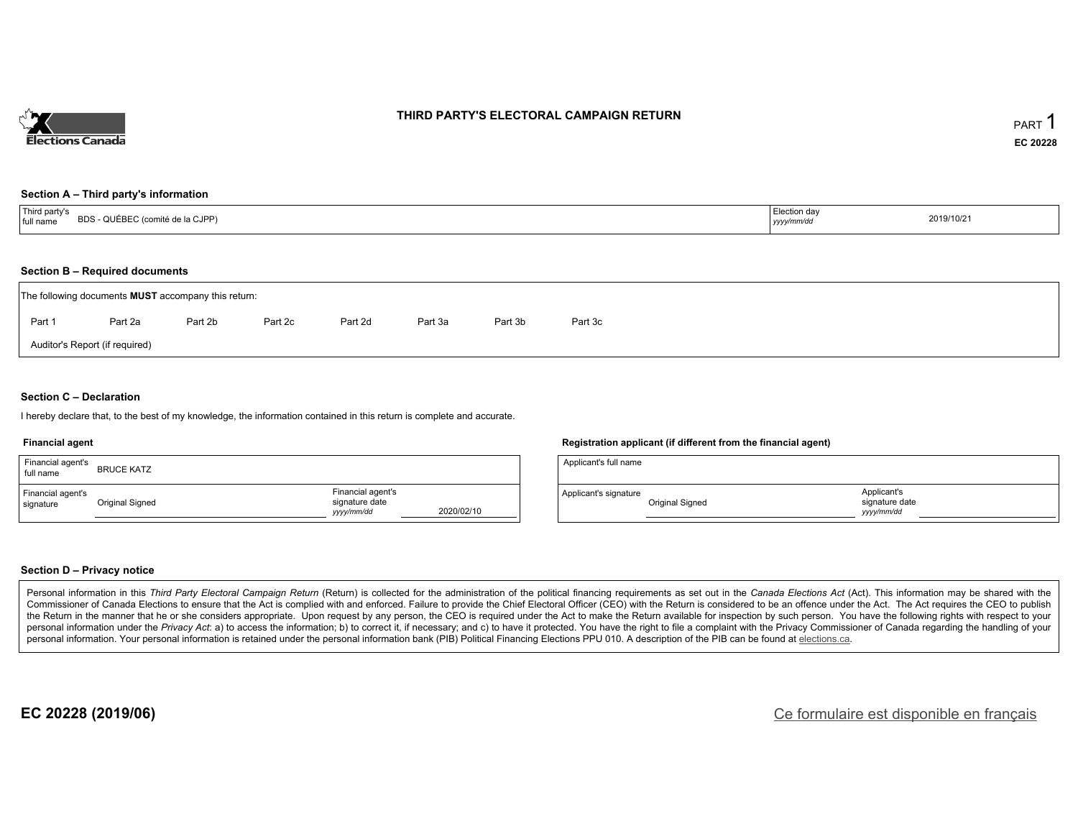

### **THIRD PARTY'S ELECTORAL CAMPAIGN RETURN**

#### **Section A – Third party's information**

| 'Third party's<br><b>DDC</b><br>cci (comité de la CJPP) تے۔<br><b>BDS - QUEBE</b><br>full name | Election dav<br>2019/10/21<br>-------<br>yyyy/mm/d <sup>,</sup> |  |
|------------------------------------------------------------------------------------------------|-----------------------------------------------------------------|--|
|------------------------------------------------------------------------------------------------|-----------------------------------------------------------------|--|

#### **Section B – Required documents**

|        | The following documents <b>MUST</b> accompany this return: |         |         |         |         |         |         |  |  |  |  |  |  |
|--------|------------------------------------------------------------|---------|---------|---------|---------|---------|---------|--|--|--|--|--|--|
| Part 1 | Part 2a                                                    | Part 2b | Part 2c | Part 2d | Part 3a | Part 3b | Part 3c |  |  |  |  |  |  |
|        | Auditor's Report (if required)                             |         |         |         |         |         |         |  |  |  |  |  |  |

### **Section C – Declaration**

I hereby declare that, to the best of my knowledge, the information contained in this return is complete and accurate.

#### **Financial agent**

| Financial agent's<br>full name | <b>BRUCE KATZ</b> |                                                  |            |
|--------------------------------|-------------------|--------------------------------------------------|------------|
| Financial agent's<br>signature | Original Signed   | Financial agent's<br>signature date<br>vyy/mm/dd | 2020/02/10 |

### **Registration applicant (if different from the financial agent)**

| Applicant's full name |                 |                                            |
|-----------------------|-----------------|--------------------------------------------|
| Applicant's signature | Original Signed | Applicant's<br>signature date<br>vyy/mm/dd |

#### **Section D – Privacy notice**

Personal information in this Third Party Electoral Campaign Return (Return) is collected for the administration of the political financing requirements as set out in the Canada Elections Act (Act). This information may be Commissioner of Canada Elections to ensure that the Act is complied with and enforced. Failure to provide the Chief Electoral Officer (CEO) with the Return is considered to be an offence under the Act. The Act requires the the Return in the manner that he or she considers appropriate. Upon request by any person, the CEO is required under the Act to make the Return available for inspection by such person. You have the following rights with re personal information under the Privacy Act: a) to access the information; b) to correct it, if necessary; and c) to have it protected. You have the right to file a complaint with the Privacy Commissioner of Canada regardin personal information. Your personal information is retained under the personal information bank (PIB) Political Financing Elections PPU 010. A description of the PIB can be found at elections.ca.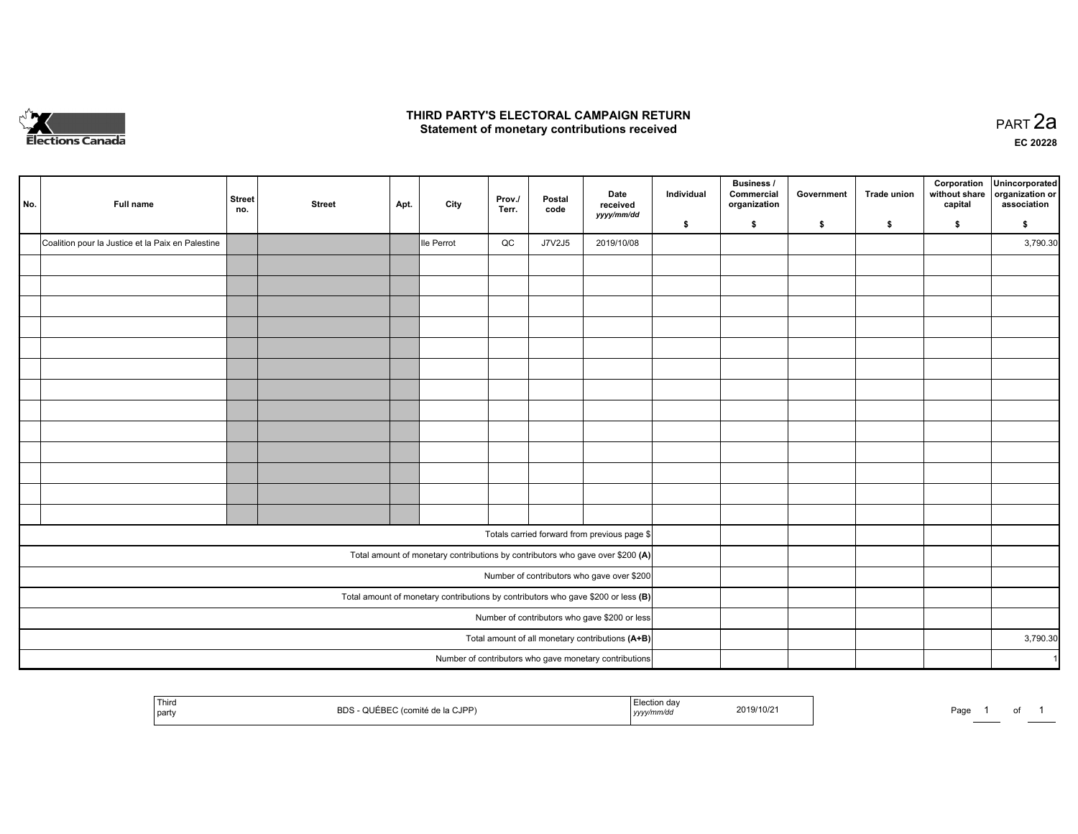

## **THIRD PARTY'S ELECTORAL CAMPAIGN RETURN HIRD PARTY'S ELECTORAL CAMPAIGN RETURN<br>Statement of monetary contributions received PART 2a PART 2a**

**EC 20228**

| No. | Full name                                         | <b>Street</b><br>no. | <b>Street</b> | Apt. | City       | Prov./<br>Terr. | Postal<br>code | Date<br>received<br>yyyy/mm/dd                                                      | Individual<br>\$ | Business /<br>Commercial<br>organization<br>\$ | Government<br>\$ | <b>Trade union</b><br>\$ | Corporation<br>without share<br>capital<br>\$ | Unincorporated<br>organization or<br>association<br>\$ |
|-----|---------------------------------------------------|----------------------|---------------|------|------------|-----------------|----------------|-------------------------------------------------------------------------------------|------------------|------------------------------------------------|------------------|--------------------------|-----------------------------------------------|--------------------------------------------------------|
|     | Coalition pour la Justice et la Paix en Palestine |                      |               |      | Ile Perrot | QC              | J7V2J5         | 2019/10/08                                                                          |                  |                                                |                  |                          |                                               | 3,790.30                                               |
|     |                                                   |                      |               |      |            |                 |                |                                                                                     |                  |                                                |                  |                          |                                               |                                                        |
|     |                                                   |                      |               |      |            |                 |                |                                                                                     |                  |                                                |                  |                          |                                               |                                                        |
|     |                                                   |                      |               |      |            |                 |                |                                                                                     |                  |                                                |                  |                          |                                               |                                                        |
|     |                                                   |                      |               |      |            |                 |                |                                                                                     |                  |                                                |                  |                          |                                               |                                                        |
|     |                                                   |                      |               |      |            |                 |                |                                                                                     |                  |                                                |                  |                          |                                               |                                                        |
|     |                                                   |                      |               |      |            |                 |                |                                                                                     |                  |                                                |                  |                          |                                               |                                                        |
|     |                                                   |                      |               |      |            |                 |                |                                                                                     |                  |                                                |                  |                          |                                               |                                                        |
|     |                                                   |                      |               |      |            |                 |                |                                                                                     |                  |                                                |                  |                          |                                               |                                                        |
|     |                                                   |                      |               |      |            |                 |                |                                                                                     |                  |                                                |                  |                          |                                               |                                                        |
|     |                                                   |                      |               |      |            |                 |                |                                                                                     |                  |                                                |                  |                          |                                               |                                                        |
|     |                                                   |                      |               |      |            |                 |                |                                                                                     |                  |                                                |                  |                          |                                               |                                                        |
|     |                                                   |                      |               |      |            |                 |                |                                                                                     |                  |                                                |                  |                          |                                               |                                                        |
|     |                                                   |                      |               |      |            |                 |                |                                                                                     |                  |                                                |                  |                          |                                               |                                                        |
|     |                                                   |                      |               |      |            |                 |                |                                                                                     |                  |                                                |                  |                          |                                               |                                                        |
|     |                                                   |                      |               |      |            |                 |                | Totals carried forward from previous page \$                                        |                  |                                                |                  |                          |                                               |                                                        |
|     |                                                   |                      |               |      |            |                 |                | Total amount of monetary contributions by contributors who gave over \$200 (A)      |                  |                                                |                  |                          |                                               |                                                        |
|     | Number of contributors who gave over \$200        |                      |               |      |            |                 |                |                                                                                     |                  |                                                |                  |                          |                                               |                                                        |
|     |                                                   |                      |               |      |            |                 |                | Total amount of monetary contributions by contributors who gave \$200 or less $(B)$ |                  |                                                |                  |                          |                                               |                                                        |
|     |                                                   |                      |               |      |            |                 |                | Number of contributors who gave \$200 or less                                       |                  |                                                |                  |                          |                                               |                                                        |
|     |                                                   |                      |               |      |            |                 |                | Total amount of all monetary contributions (A+B)                                    |                  |                                                |                  |                          |                                               | 3,790.30                                               |
|     |                                                   |                      |               |      |            |                 |                | Number of contributors who gave monetary contributions                              |                  |                                                |                  |                          |                                               | $\overline{1}$                                         |

| <sup>l</sup> Third<br>party | `IPP'<br>`≏ de la CJ⊩<br>שם | ' day<br>2019/10/2<br>יו <i>חורי</i> .<br> | $P$ aqe |
|-----------------------------|-----------------------------|--------------------------------------------|---------|
|-----------------------------|-----------------------------|--------------------------------------------|---------|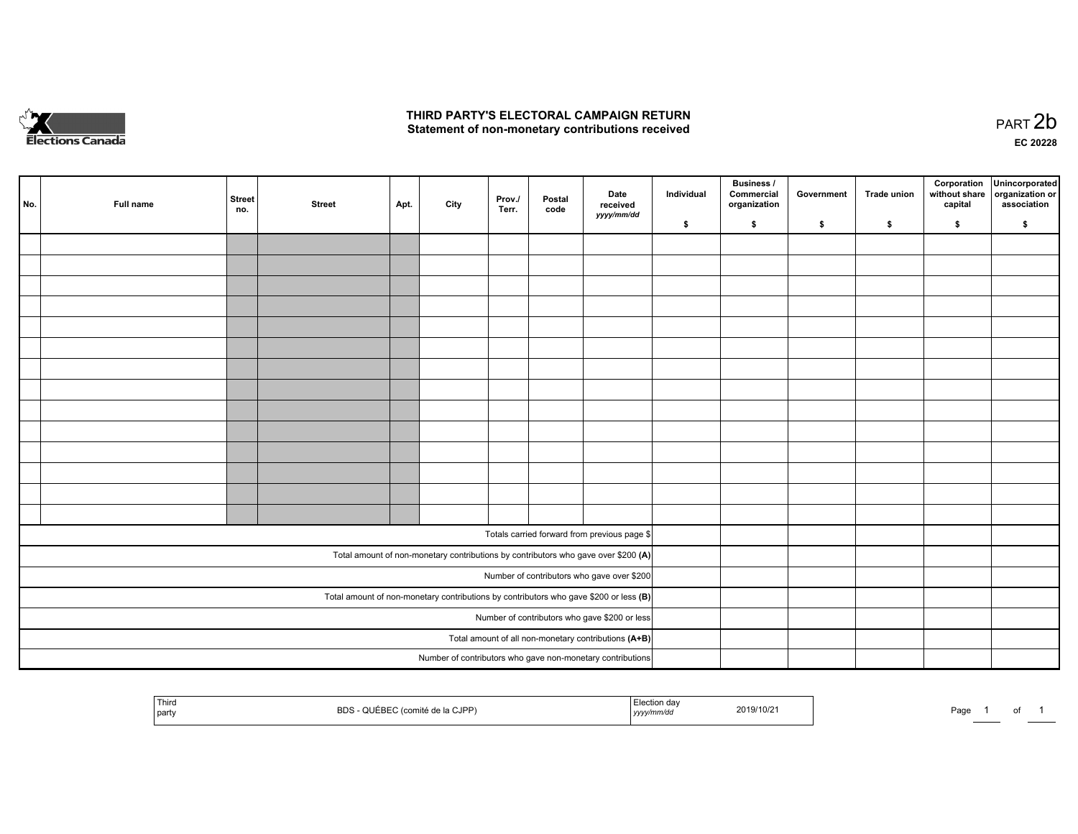

## **THIRD PARTY'S ELECTORAL CAMPAIGN RETURN**  THIRD PARTY'S ELECTORAL CAMPAIGN RETURN<br>Statement of non-monetary contributions received

| No. | Full name | <b>Street</b><br>no. | <b>Street</b> | Apt. | City | Prov.<br>Terr. | Postal<br>code | Date<br>received<br>yyyy/mm/dd                                                          | Individual | <b>Business /</b><br>Commercial<br>organization | Government | Trade union | Corporation<br>without share<br>capital | Unincorporated<br>organization or<br>association |
|-----|-----------|----------------------|---------------|------|------|----------------|----------------|-----------------------------------------------------------------------------------------|------------|-------------------------------------------------|------------|-------------|-----------------------------------------|--------------------------------------------------|
|     |           |                      |               |      |      |                |                |                                                                                         | \$         | \$                                              | \$         | \$          | \$                                      | \$                                               |
|     |           |                      |               |      |      |                |                |                                                                                         |            |                                                 |            |             |                                         |                                                  |
|     |           |                      |               |      |      |                |                |                                                                                         |            |                                                 |            |             |                                         |                                                  |
|     |           |                      |               |      |      |                |                |                                                                                         |            |                                                 |            |             |                                         |                                                  |
|     |           |                      |               |      |      |                |                |                                                                                         |            |                                                 |            |             |                                         |                                                  |
|     |           |                      |               |      |      |                |                |                                                                                         |            |                                                 |            |             |                                         |                                                  |
|     |           |                      |               |      |      |                |                |                                                                                         |            |                                                 |            |             |                                         |                                                  |
|     |           |                      |               |      |      |                |                |                                                                                         |            |                                                 |            |             |                                         |                                                  |
|     |           |                      |               |      |      |                |                |                                                                                         |            |                                                 |            |             |                                         |                                                  |
|     |           |                      |               |      |      |                |                |                                                                                         |            |                                                 |            |             |                                         |                                                  |
|     |           |                      |               |      |      |                |                |                                                                                         |            |                                                 |            |             |                                         |                                                  |
|     |           |                      |               |      |      |                |                |                                                                                         |            |                                                 |            |             |                                         |                                                  |
|     |           |                      |               |      |      |                |                |                                                                                         |            |                                                 |            |             |                                         |                                                  |
|     |           |                      |               |      |      |                |                |                                                                                         |            |                                                 |            |             |                                         |                                                  |
|     |           |                      |               |      |      |                |                |                                                                                         |            |                                                 |            |             |                                         |                                                  |
|     |           |                      |               |      |      |                |                |                                                                                         |            |                                                 |            |             |                                         |                                                  |
|     |           |                      |               |      |      |                |                | Totals carried forward from previous page \$                                            |            |                                                 |            |             |                                         |                                                  |
|     |           |                      |               |      |      |                |                | Total amount of non-monetary contributions by contributors who gave over \$200 (A)      |            |                                                 |            |             |                                         |                                                  |
|     |           |                      |               |      |      |                |                | Number of contributors who gave over \$200                                              |            |                                                 |            |             |                                         |                                                  |
|     |           |                      |               |      |      |                |                | Total amount of non-monetary contributions by contributors who gave \$200 or less $(B)$ |            |                                                 |            |             |                                         |                                                  |
|     |           |                      |               |      |      |                |                | Number of contributors who gave \$200 or less                                           |            |                                                 |            |             |                                         |                                                  |
|     |           |                      |               |      |      |                |                | Total amount of all non-monetary contributions (A+B)                                    |            |                                                 |            |             |                                         |                                                  |
|     |           |                      |               |      |      |                |                | Number of contributors who gave non-monetary contributions                              |            |                                                 |            |             |                                         |                                                  |
|     |           |                      |               |      |      |                |                |                                                                                         |            |                                                 |            |             |                                         |                                                  |

| <sup>!</sup> Thira<br>  part | C IDD)<br>י הה<br>--<br>▫ | . ction∾'<br>2019/10/2<br>yyyymmvaa | Page |
|------------------------------|---------------------------|-------------------------------------|------|
|------------------------------|---------------------------|-------------------------------------|------|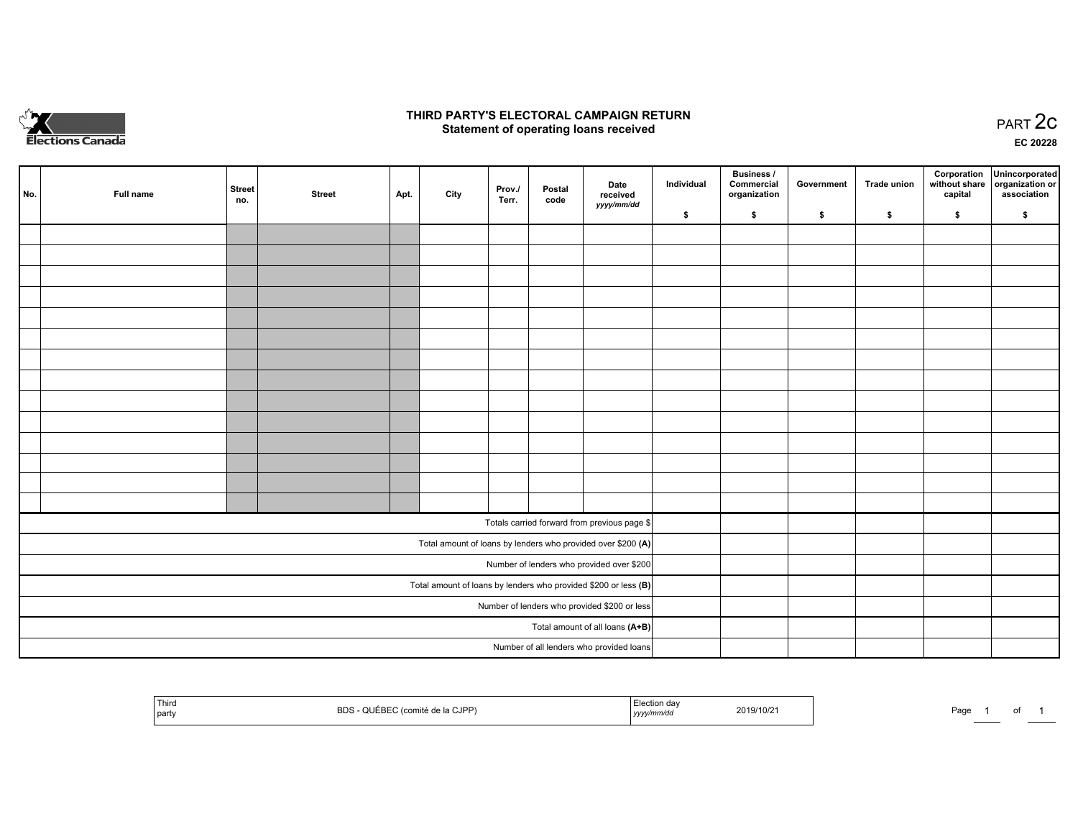

## **THIRD PARTY'S ELECTORAL CAMPAIGN RETURN STATE:** PRACT OF OPPRESS TO PART 2C STATE STATE STATE STATE STATE STATE STATE STATE STATE STATE STATE STATE STA<br>PART 2C Statement of operating loans received

**EC 20228**

| No. | Full name | <b>Street</b><br>no. | <b>Street</b> | Apt. | City | Prov./<br>Terr. | Postal<br>code | Date<br>received                                                | Individual | <b>Business /</b><br>Commercial<br>organization | Government | <b>Trade union</b> | Corporation<br>capital | Unincorporated<br>without share   organization or<br>association |
|-----|-----------|----------------------|---------------|------|------|-----------------|----------------|-----------------------------------------------------------------|------------|-------------------------------------------------|------------|--------------------|------------------------|------------------------------------------------------------------|
|     |           |                      |               |      |      |                 |                | yyyy/mm/dd                                                      | \$         | \$                                              | \$         | \$                 | \$                     | \$                                                               |
|     |           |                      |               |      |      |                 |                |                                                                 |            |                                                 |            |                    |                        |                                                                  |
|     |           |                      |               |      |      |                 |                |                                                                 |            |                                                 |            |                    |                        |                                                                  |
|     |           |                      |               |      |      |                 |                |                                                                 |            |                                                 |            |                    |                        |                                                                  |
|     |           |                      |               |      |      |                 |                |                                                                 |            |                                                 |            |                    |                        |                                                                  |
|     |           |                      |               |      |      |                 |                |                                                                 |            |                                                 |            |                    |                        |                                                                  |
|     |           |                      |               |      |      |                 |                |                                                                 |            |                                                 |            |                    |                        |                                                                  |
|     |           |                      |               |      |      |                 |                |                                                                 |            |                                                 |            |                    |                        |                                                                  |
|     |           |                      |               |      |      |                 |                |                                                                 |            |                                                 |            |                    |                        |                                                                  |
|     |           |                      |               |      |      |                 |                |                                                                 |            |                                                 |            |                    |                        |                                                                  |
|     |           |                      |               |      |      |                 |                |                                                                 |            |                                                 |            |                    |                        |                                                                  |
|     |           |                      |               |      |      |                 |                |                                                                 |            |                                                 |            |                    |                        |                                                                  |
|     |           |                      |               |      |      |                 |                |                                                                 |            |                                                 |            |                    |                        |                                                                  |
|     |           |                      |               |      |      |                 |                |                                                                 |            |                                                 |            |                    |                        |                                                                  |
|     |           |                      |               |      |      |                 |                |                                                                 |            |                                                 |            |                    |                        |                                                                  |
|     |           |                      |               |      |      |                 |                | Totals carried forward from previous page \$                    |            |                                                 |            |                    |                        |                                                                  |
|     |           |                      |               |      |      |                 |                | Total amount of loans by lenders who provided over \$200 (A)    |            |                                                 |            |                    |                        |                                                                  |
|     |           |                      |               |      |      |                 |                | Number of lenders who provided over \$200                       |            |                                                 |            |                    |                        |                                                                  |
|     |           |                      |               |      |      |                 |                | Total amount of loans by lenders who provided \$200 or less (B) |            |                                                 |            |                    |                        |                                                                  |
|     |           |                      |               |      |      |                 |                | Number of lenders who provided \$200 or less                    |            |                                                 |            |                    |                        |                                                                  |
|     |           |                      |               |      |      |                 |                | Total amount of all loans (A+B)                                 |            |                                                 |            |                    |                        |                                                                  |
|     |           |                      |               |      |      |                 |                | Number of all lenders who provided loans                        |            |                                                 |            |                    |                        |                                                                  |

| Third<br>party | <b>BDS</b><br>CJPP) | ™ection dav<br>.<br>mm/ac<br>$ $ yyyy $\theta$ | 2019/10/21 | Page | _____ |  |
|----------------|---------------------|------------------------------------------------|------------|------|-------|--|
|----------------|---------------------|------------------------------------------------|------------|------|-------|--|

Page 1 of 1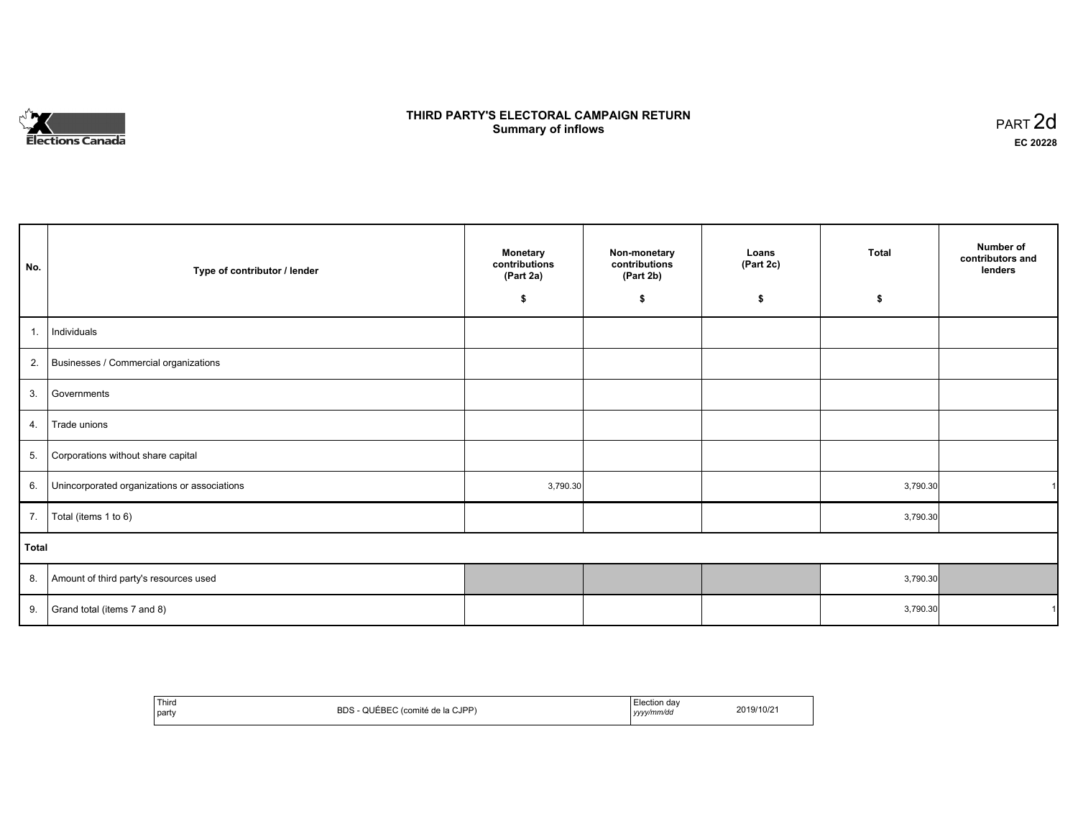

# **THIRD PARTY'S ELECTORAL CAMPAIGN RETURN S** ELECTORAL CAMPAIGN RETURN<br>Summary of inflows PART 2d

| No.   | Type of contributor / lender                 | Monetary<br>contributions<br>(Part 2a) | Non-monetary<br>contributions<br>(Part 2b) | Loans<br>(Part 2c) | <b>Total</b> | Number of<br>contributors and<br>lenders |
|-------|----------------------------------------------|----------------------------------------|--------------------------------------------|--------------------|--------------|------------------------------------------|
|       |                                              | \$                                     | \$                                         | \$                 | \$           |                                          |
| 1.    | Individuals                                  |                                        |                                            |                    |              |                                          |
|       | 2. Businesses / Commercial organizations     |                                        |                                            |                    |              |                                          |
| 3.    | Governments                                  |                                        |                                            |                    |              |                                          |
| 4.    | Trade unions                                 |                                        |                                            |                    |              |                                          |
| 5.    | Corporations without share capital           |                                        |                                            |                    |              |                                          |
| 6.    | Unincorporated organizations or associations | 3,790.30                               |                                            |                    | 3,790.30     |                                          |
|       | 7.   Total (items 1 to 6)                    |                                        |                                            |                    | 3,790.30     |                                          |
| Total |                                              |                                        |                                            |                    |              |                                          |
|       | 8. Amount of third party's resources used    |                                        |                                            |                    | 3,790.30     |                                          |
| 9.    | Grand total (items 7 and 8)                  |                                        |                                            |                    | 3,790.30     |                                          |

| Third<br>party | <b>BDS</b><br>e de la CJPP`<br>$F^F$ REC<br>$\sim$<br>(comité | . Election dav<br>yyyy/mm/dd | 2019/10/21 |
|----------------|---------------------------------------------------------------|------------------------------|------------|
|----------------|---------------------------------------------------------------|------------------------------|------------|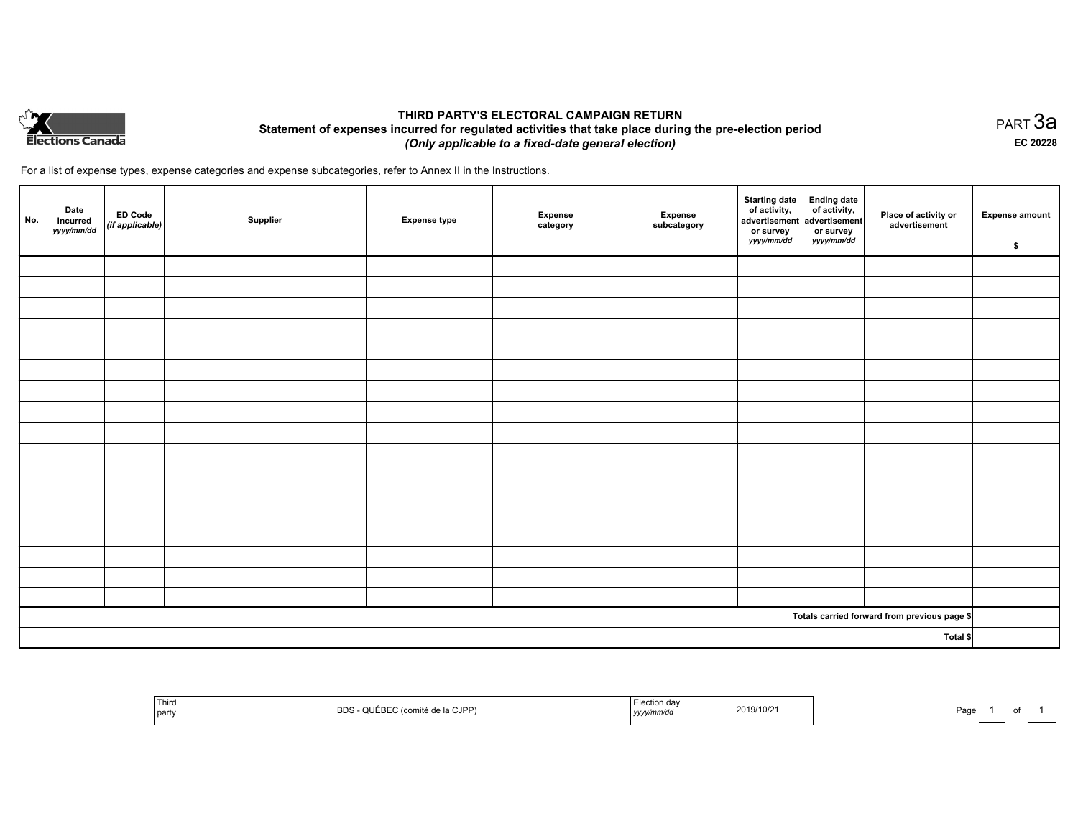

# **THIRD PARTY'S ELECTORAL CAMPAIGN RETURN Statement of expenses incurred for regulated activities that take place during the pre-election period**  *(Only applicable to a fixed-date general election)*

For a list of expense types, expense categories and expense subcategories, refer to Annex II in the Instructions.

| No.      | Date<br>incurred<br>yyyy/mm/dd | ED Code<br>(if applicable) | Supplier | <b>Expense type</b> | <b>Expense</b><br>category | Expense<br>subcategory | Starting date<br>of activity,<br>advertisement<br>or survey<br>yyyy/mm/dd | Ending date<br>of activity,<br>advertisement<br>or survey<br>yyyy/mm/dd | Place of activity or<br>advertisement        | <b>Expense amount</b><br>\$ |
|----------|--------------------------------|----------------------------|----------|---------------------|----------------------------|------------------------|---------------------------------------------------------------------------|-------------------------------------------------------------------------|----------------------------------------------|-----------------------------|
|          |                                |                            |          |                     |                            |                        |                                                                           |                                                                         |                                              |                             |
|          |                                |                            |          |                     |                            |                        |                                                                           |                                                                         |                                              |                             |
|          |                                |                            |          |                     |                            |                        |                                                                           |                                                                         |                                              |                             |
|          |                                |                            |          |                     |                            |                        |                                                                           |                                                                         |                                              |                             |
|          |                                |                            |          |                     |                            |                        |                                                                           |                                                                         |                                              |                             |
|          |                                |                            |          |                     |                            |                        |                                                                           |                                                                         |                                              |                             |
|          |                                |                            |          |                     |                            |                        |                                                                           |                                                                         |                                              |                             |
|          |                                |                            |          |                     |                            |                        |                                                                           |                                                                         |                                              |                             |
|          |                                |                            |          |                     |                            |                        |                                                                           |                                                                         |                                              |                             |
|          |                                |                            |          |                     |                            |                        |                                                                           |                                                                         |                                              |                             |
|          |                                |                            |          |                     |                            |                        |                                                                           |                                                                         |                                              |                             |
|          |                                |                            |          |                     |                            |                        |                                                                           |                                                                         |                                              |                             |
|          |                                |                            |          |                     |                            |                        |                                                                           |                                                                         |                                              |                             |
|          |                                |                            |          |                     |                            |                        |                                                                           |                                                                         |                                              |                             |
|          |                                |                            |          |                     |                            |                        |                                                                           |                                                                         |                                              |                             |
|          |                                |                            |          |                     |                            |                        |                                                                           |                                                                         |                                              |                             |
|          |                                |                            |          |                     |                            |                        |                                                                           |                                                                         |                                              |                             |
|          |                                |                            |          |                     |                            |                        |                                                                           |                                                                         | Totals carried forward from previous page \$ |                             |
| Total \$ |                                |                            |          |                     |                            |                        |                                                                           |                                                                         |                                              |                             |

| Third      |           | Doo.    |
|------------|-----------|---------|
|            | 2019/10/2 | ∽aur    |
| <b>BDS</b> |           | $\cdot$ |
| וססו ר     | ,,,,      |         |
|            |           |         |
| party      |           |         |

PART 3a **EC 20228**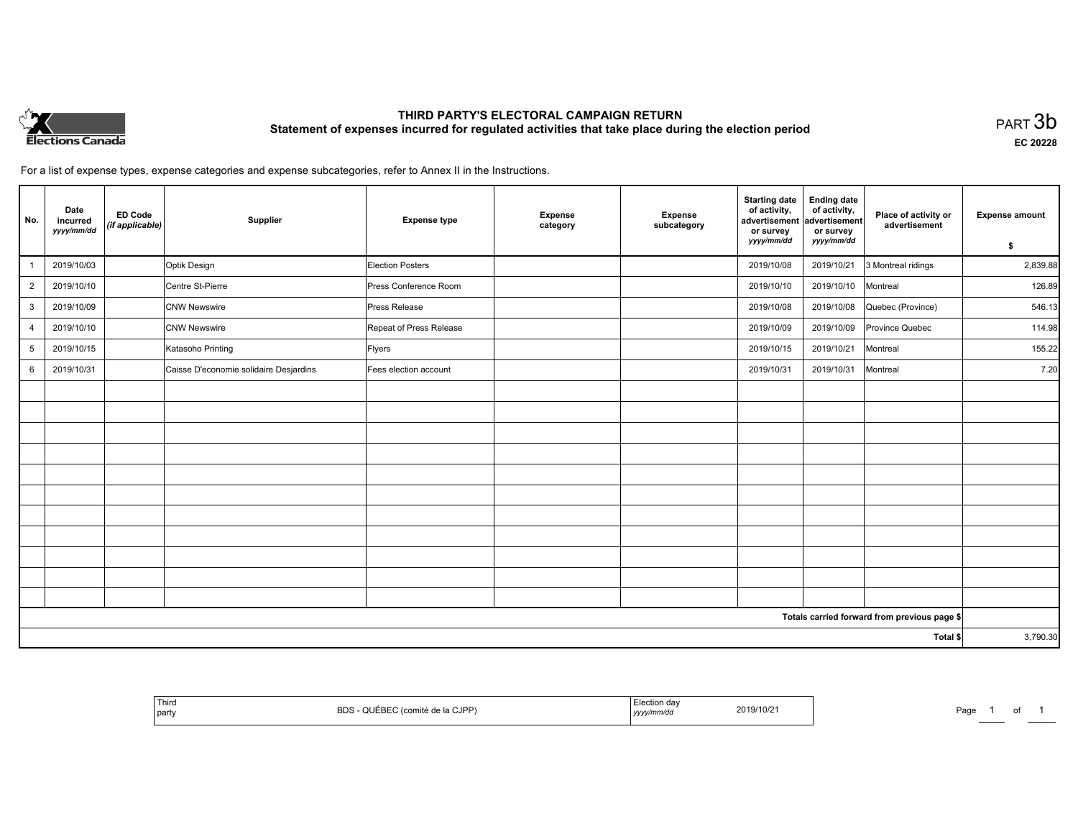

# **THIRD PARTY'S ELECTORAL CAMPAIGN RETURN Statement of expenses incurred for regulated activities that take place during the election period**<br>PART  $3\mathsf{b}$

**EC 20228**

1 of 1

For a list of expense types, expense categories and expense subcategories, refer to Annex II in the Instructions.

| No.             | Date<br>incurred<br>yyyy/mm/dd | <b>ED Code</b><br>(if applicable) | Supplier                               | <b>Expense type</b>     | Expense<br>category | Expense<br>subcategory | <b>Starting date</b><br>of activity,<br>advertisement<br>or survey<br>yyyy/mm/dd | <b>Ending date</b><br>of activity,<br>advertisement<br>or survey<br>yyyy/mm/dd | Place of activity or<br>advertisement        | <b>Expense amount</b><br>\$ |
|-----------------|--------------------------------|-----------------------------------|----------------------------------------|-------------------------|---------------------|------------------------|----------------------------------------------------------------------------------|--------------------------------------------------------------------------------|----------------------------------------------|-----------------------------|
|                 | 2019/10/03                     |                                   | Optik Design                           | <b>Election Posters</b> |                     |                        | 2019/10/08                                                                       | 2019/10/21                                                                     | 3 Montreal ridings                           | 2,839.88                    |
| $\overline{2}$  | 2019/10/10                     |                                   | Centre St-Pierre                       | Press Conference Room   |                     |                        | 2019/10/10                                                                       | 2019/10/10                                                                     | Montreal                                     | 126.89                      |
| $\mathbf{3}$    | 2019/10/09                     |                                   | <b>CNW Newswire</b>                    | <b>Press Release</b>    |                     |                        | 2019/10/08                                                                       | 2019/10/08                                                                     | Quebec (Province)                            | 546.13                      |
| $\overline{4}$  | 2019/10/10                     |                                   | <b>CNW Newswire</b>                    | Repeat of Press Release |                     |                        | 2019/10/09                                                                       | 2019/10/09                                                                     | Province Quebec                              | 114.98                      |
| $5\phantom{.0}$ | 2019/10/15                     |                                   | Katasoho Printing                      | Flyers                  |                     |                        | 2019/10/15                                                                       | 2019/10/21                                                                     | Montreal                                     | 155.22                      |
| 6               | 2019/10/31                     |                                   | Caisse D'economie solidaire Desjardins | Fees election account   |                     |                        | 2019/10/31                                                                       | 2019/10/31                                                                     | Montreal                                     | 7.20                        |
|                 |                                |                                   |                                        |                         |                     |                        |                                                                                  |                                                                                |                                              |                             |
|                 |                                |                                   |                                        |                         |                     |                        |                                                                                  |                                                                                |                                              |                             |
|                 |                                |                                   |                                        |                         |                     |                        |                                                                                  |                                                                                |                                              |                             |
|                 |                                |                                   |                                        |                         |                     |                        |                                                                                  |                                                                                |                                              |                             |
|                 |                                |                                   |                                        |                         |                     |                        |                                                                                  |                                                                                |                                              |                             |
|                 |                                |                                   |                                        |                         |                     |                        |                                                                                  |                                                                                |                                              |                             |
|                 |                                |                                   |                                        |                         |                     |                        |                                                                                  |                                                                                |                                              |                             |
|                 |                                |                                   |                                        |                         |                     |                        |                                                                                  |                                                                                |                                              |                             |
|                 |                                |                                   |                                        |                         |                     |                        |                                                                                  |                                                                                |                                              |                             |
|                 |                                |                                   |                                        |                         |                     |                        |                                                                                  |                                                                                |                                              |                             |
|                 |                                |                                   |                                        |                         |                     |                        |                                                                                  |                                                                                |                                              |                             |
|                 |                                |                                   |                                        |                         |                     |                        |                                                                                  |                                                                                | Totals carried forward from previous page \$ |                             |
| Total \$        |                                |                                   |                                        |                         |                     |                        |                                                                                  | 3,790.30                                                                       |                                              |                             |

| Third<br>- IPP<br>  party<br>∵ب⊔ت<br>the contract of the contract of the contract of the contract of the contract of<br>,,,,, uc<br>,,,,, | 0.2 <sub>n</sub><br>≃י<br>ayc |
|-------------------------------------------------------------------------------------------------------------------------------------------|-------------------------------|
|-------------------------------------------------------------------------------------------------------------------------------------------|-------------------------------|